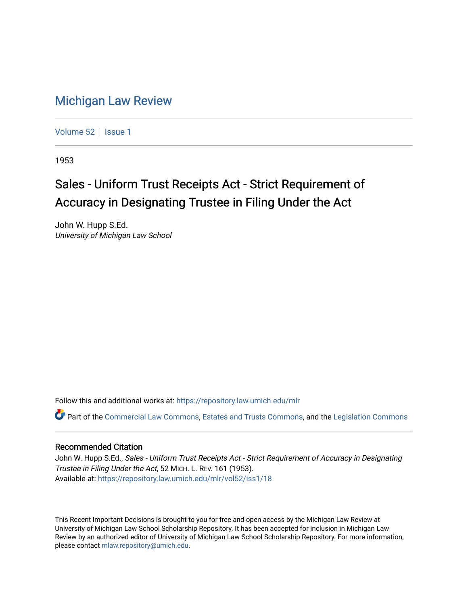## [Michigan Law Review](https://repository.law.umich.edu/mlr)

[Volume 52](https://repository.law.umich.edu/mlr/vol52) | [Issue 1](https://repository.law.umich.edu/mlr/vol52/iss1)

1953

## Sales - Uniform Trust Receipts Act - Strict Requirement of Accuracy in Designating Trustee in Filing Under the Act

John W. Hupp S.Ed. University of Michigan Law School

Follow this and additional works at: [https://repository.law.umich.edu/mlr](https://repository.law.umich.edu/mlr?utm_source=repository.law.umich.edu%2Fmlr%2Fvol52%2Fiss1%2F18&utm_medium=PDF&utm_campaign=PDFCoverPages) 

Part of the [Commercial Law Commons](http://network.bepress.com/hgg/discipline/586?utm_source=repository.law.umich.edu%2Fmlr%2Fvol52%2Fiss1%2F18&utm_medium=PDF&utm_campaign=PDFCoverPages), [Estates and Trusts Commons](http://network.bepress.com/hgg/discipline/906?utm_source=repository.law.umich.edu%2Fmlr%2Fvol52%2Fiss1%2F18&utm_medium=PDF&utm_campaign=PDFCoverPages), and the [Legislation Commons](http://network.bepress.com/hgg/discipline/859?utm_source=repository.law.umich.edu%2Fmlr%2Fvol52%2Fiss1%2F18&utm_medium=PDF&utm_campaign=PDFCoverPages) 

## Recommended Citation

John W. Hupp S.Ed., Sales - Uniform Trust Receipts Act - Strict Requirement of Accuracy in Designating Trustee in Filing Under the Act, 52 MICH. L. REV. 161 (1953). Available at: [https://repository.law.umich.edu/mlr/vol52/iss1/18](https://repository.law.umich.edu/mlr/vol52/iss1/18?utm_source=repository.law.umich.edu%2Fmlr%2Fvol52%2Fiss1%2F18&utm_medium=PDF&utm_campaign=PDFCoverPages) 

This Recent Important Decisions is brought to you for free and open access by the Michigan Law Review at University of Michigan Law School Scholarship Repository. It has been accepted for inclusion in Michigan Law Review by an authorized editor of University of Michigan Law School Scholarship Repository. For more information, please contact [mlaw.repository@umich.edu.](mailto:mlaw.repository@umich.edu)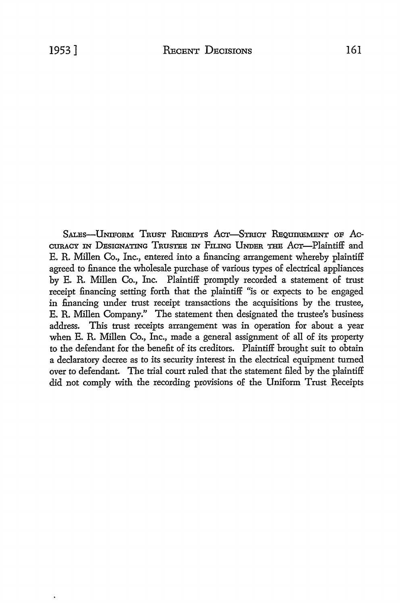S.ALEs-UNIFoRM TRUST RECEIPTS ACT-STRICT REQUIREMENT OF Ac-CURACY IN DESIGNATING TRUSTEE IN FILING UNDER THE ACT-Plaintiff and E. R. Millen Co., Inc., entered into a financing arrangement whereby plaintiff agreed to finance the wholesale purchase of various types of electrical appliances by E. R. Millen Co., Inc. Plaintiff promptly recorded a statement of trust receipt financing setting forth that the plaintiff "is or expects to be engaged in financing under trust receipt transactions the acquisitions by the trustee, E. R. Millen Company." The statement then designated the trustee's business address. This trust receipts arrangement was in operation for about a year when E. R. Millen Co., Inc., made a general assignment of all of its property to the defendant for the benefit of its creditors. Plaintiff brought suit to obtain a declaratory decree as to its security interest in the electrical equipment turned over to defendant. The trial court ruled that the statement filed by the plaintiff did not comply with the recording provisions of the Uniform Trust Receipts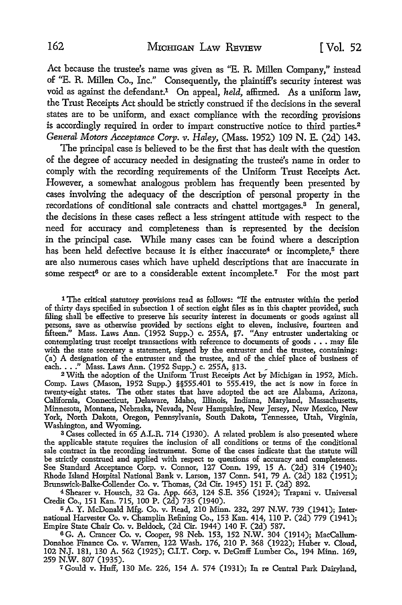Act because the trustee's name was given as "E. R. Millen Company,'' instead of "E. R. Millen Co., Inc." Consequently, the plaintiff's security interest was void as against the defendant.1 On appeal, *held,* affirmed. As a uniform law, the Trust Receipts Act should be strictly construed if the decisions in the several states are to be uniform, and exact compliance with the recording provisions is accordingly required in order to impart constructive notice to third parties.<sup>2</sup> *General Motors Acceptance Corp. v. Haley,* (Mass. 1952) 109 N. E. (2d) 143.

The principal case is believed to be the first that has dealt with the question of the degree of accuracy needed in designating the trustee's name in order to comply with the recording requirements of the Uniform Trust Receipts Act. However, a somewhat analogous problem has frequently been presented by cases involving the adequacy of the description of personal property in the recordations of conditional sale contracts and chattel mortgages.<sup>3</sup> In general, the decisions in these cases reflect a less stringent attitude with respect to the need for accuracy and completeness than is represented by the decision in the principal case. While many cases can be found where a description has been held defective because it is either inaccurate<sup>4</sup> or incomplete,<sup>5</sup> there are also numerous cases which have upheld descriptions that are inaccurate in some respect<sup>6</sup> or are to a considerable extent incomplete.<sup>7</sup> For the most part

1 The critical statutory provisions read as follows: "If the entruster within the period of thirty days specified in subsection 1 of section eight files as in this chapter provided, such filing shall be effective to preserve his security interest in documents or goods against all persons, save as otherwise provided by sections eight to eleven, inclusive, fourteen and fifteen." Mass. Laws Ann. (1952 Supp.) c. 255A, §7. "Any entruster undertaking or contemplating trust receipt transactions with reference to documents of goods . . . may file with the state secretary a statement, signed by the entruster and the trustee, containing: (a) A designation of the entruster and the trustee, and of the chief place of business of each...." Mass. Laws Ann. (1952 Supp.) c. 255A, §13. <br>2 With the adoption of the Uniform Trust Receipts Act by Michigan in 1952, Mich.

Comp. Laws (Mason, 1952 Supp.) §§555.401 to 555.419, the act is now in force in twenty-eight states. The other states that have adopted the act are Alabama, Arizona, California, Connecticut, Delaware, Idaho, lliinois, Indiana, Maryland, Massachusetts, Minnesota, Montana, Nebraska, Nevada, New Hampshire, New Jersey, New Mexico, New York, North Dakota, Oregon, Pennsylvania, South Dakota, Tennessee, Utah, Virginia, Washington, and Wyoming.

<sup>3</sup> Cases collected in 65 A.L.R. 714 (1930). A related problem is also presented where the applicable statute requires the inclusion of all conditions or terms of the conditional sale contract in the recording instrument. Some of the cases indicate that the statute will be strictly construed and applied with respect to questions of accuracy and completeness. See Standard Acceptance Corp. v. Connor, 127 Conn. 199, 15 A. (2d) 314 (1940); Rhode Island Hospital National Bank v. Larson, 137 Conn. 541, 79 A. (2d) 182 (1951); Brunswick-Balke-Collender Co. v. Thomas, (2d Cir. 1945) 151 F. (2d) 892.

4 Shearer v. Rousch, 32 Ga. App. 663, 124 S.E. 356 (1924); Trapani v. Universal Credit Co., 151 Kan. 715, 100 P. (2d) 735 (1940).

5 A. Y. McDonald Mfg. Co. v. Read, 210 Minn. 232, 297 N.W. 739 (1941); International Harvester Co. v. Champlin Refining Co., 153 Kan. 414, 110 P. (2d) 779 (1941); Empire State Chair Co. v. Beldock, (2d Cir. 1944) 140 F. (2d) 587.

6 G. A. Crancer Co. v. Cooper, 98 Neb. 153, 152 N.W. 304 (1914); MacCallum-Donahoe Finance Co. v. Warren, 122 Wash. 176, 210 P. 368 (1922); Huber v. Cloud, 102 N.J. 181, 130 A. 562 (1925); C.I.T. Corp. v. DeGraff Lumber Co., 194 Minn. 169, 259 N.W. 807 (1935).

7 Gould v. Huff, 130 Me. 226, 154 A. 574 (1931); In re Central Park Dairyland,